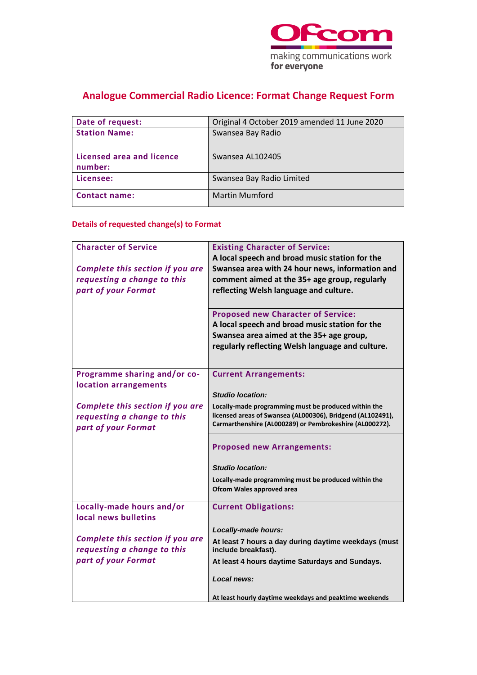

# **Analogue Commercial Radio Licence: Format Change Request Form**

| Date of request:                            | Original 4 October 2019 amended 11 June 2020 |
|---------------------------------------------|----------------------------------------------|
| <b>Station Name:</b>                        | Swansea Bay Radio                            |
| <b>Licensed area and licence</b><br>number: | Swansea AL102405                             |
| Licensee:                                   | Swansea Bay Radio Limited                    |
| <b>Contact name:</b>                        | <b>Martin Mumford</b>                        |

## **Details of requested change(s) to Format**

| <b>Character of Service</b><br>Complete this section if you are<br>requesting a change to this | <b>Existing Character of Service:</b><br>A local speech and broad music station for the<br>Swansea area with 24 hour news, information and<br>comment aimed at the 35+ age group, regularly |
|------------------------------------------------------------------------------------------------|---------------------------------------------------------------------------------------------------------------------------------------------------------------------------------------------|
| part of your Format                                                                            | reflecting Welsh language and culture.                                                                                                                                                      |
|                                                                                                | <b>Proposed new Character of Service:</b><br>A local speech and broad music station for the<br>Swansea area aimed at the 35+ age group,<br>regularly reflecting Welsh language and culture. |
| Programme sharing and/or co-<br>location arrangements                                          | <b>Current Arrangements:</b>                                                                                                                                                                |
|                                                                                                | <b>Studio location:</b>                                                                                                                                                                     |
| Complete this section if you are<br>requesting a change to this<br>part of your Format         | Locally-made programming must be produced within the<br>licensed areas of Swansea (AL000306), Bridgend (AL102491),<br>Carmarthenshire (AL000289) or Pembrokeshire (AL000272).               |
|                                                                                                | <b>Proposed new Arrangements:</b>                                                                                                                                                           |
|                                                                                                | <b>Studio location:</b>                                                                                                                                                                     |
|                                                                                                | Locally-made programming must be produced within the<br>Ofcom Wales approved area                                                                                                           |
| Locally-made hours and/or<br>local news bulletins                                              | <b>Current Obligations:</b>                                                                                                                                                                 |
|                                                                                                | Locally-made hours:                                                                                                                                                                         |
| Complete this section if you are<br>requesting a change to this                                | At least 7 hours a day during daytime weekdays (must<br>include breakfast).                                                                                                                 |
| part of your Format                                                                            | At least 4 hours daytime Saturdays and Sundays.                                                                                                                                             |
|                                                                                                | Local news:                                                                                                                                                                                 |
|                                                                                                | At least hourly daytime weekdays and peaktime weekends                                                                                                                                      |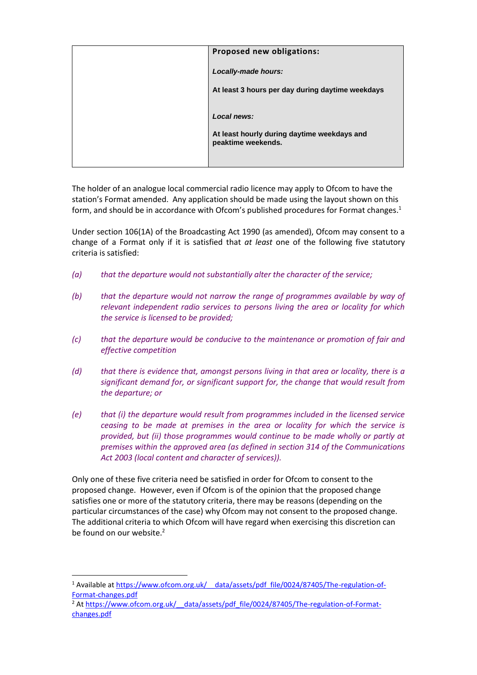| Proposed new obligations:                                         |
|-------------------------------------------------------------------|
| Locally-made hours:                                               |
| At least 3 hours per day during daytime weekdays                  |
| Local news:                                                       |
| At least hourly during daytime weekdays and<br>peaktime weekends. |
|                                                                   |

The holder of an analogue local commercial radio licence may apply to Ofcom to have the station's Format amended. Any application should be made using the layout shown on this form, and should be in accordance with Ofcom's published procedures for Format changes. 1

Under section 106(1A) of the Broadcasting Act 1990 (as amended), Ofcom may consent to a change of a Format only if it is satisfied that *at least* one of the following five statutory criteria is satisfied:

- *(a) that the departure would not substantially alter the character of the service;*
- *(b) that the departure would not narrow the range of programmes available by way of relevant independent radio services to persons living the area or locality for which the service is licensed to be provided;*
- *(c) that the departure would be conducive to the maintenance or promotion of fair and effective competition*
- *(d) that there is evidence that, amongst persons living in that area or locality, there is a significant demand for, or significant support for, the change that would result from the departure; or*
- *(e) that (i) the departure would result from programmes included in the licensed service ceasing to be made at premises in the area or locality for which the service is provided, but (ii) those programmes would continue to be made wholly or partly at premises within the approved area (as defined in section 314 of the Communications Act 2003 (local content and character of services)).*

Only one of these five criteria need be satisfied in order for Ofcom to consent to the proposed change. However, even if Ofcom is of the opinion that the proposed change satisfies one or more of the statutory criteria, there may be reasons (depending on the particular circumstances of the case) why Ofcom may not consent to the proposed change. The additional criteria to which Ofcom will have regard when exercising this discretion can be found on our website.<sup>2</sup>

<sup>&</sup>lt;sup>1</sup> Available at https://www.ofcom.org.uk/ data/assets/pdf file/0024/87405/The-regulation-of-[Format-changes.pdf](https://www.ofcom.org.uk/__data/assets/pdf_file/0024/87405/The-regulation-of-Format-changes.pdf)

<sup>&</sup>lt;sup>2</sup> At https://www.ofcom.org.uk/ data/assets/pdf\_file/0024/87405/The-regulation-of-Format[changes.pdf](https://www.ofcom.org.uk/__data/assets/pdf_file/0024/87405/The-regulation-of-Format-changes.pdf)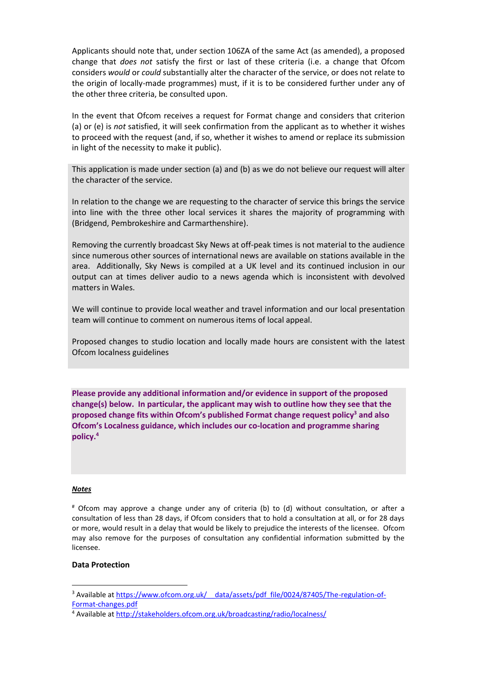Applicants should note that, under section 106ZA of the same Act (as amended), a proposed change that *does not* satisfy the first or last of these criteria (i.e. a change that Ofcom considers *would* or *could* substantially alter the character of the service, or does not relate to the origin of locally-made programmes) must, if it is to be considered further under any of the other three criteria, be consulted upon.

In the event that Ofcom receives a request for Format change and considers that criterion (a) or (e) is *not* satisfied, it will seek confirmation from the applicant as to whether it wishes to proceed with the request (and, if so, whether it wishes to amend or replace its submission in light of the necessity to make it public).

This application is made under section (a) and (b) as we do not believe our request will alter the character of the service.

In relation to the change we are requesting to the character of service this brings the service into line with the three other local services it shares the majority of programming with (Bridgend, Pembrokeshire and Carmarthenshire).

Removing the currently broadcast Sky News at off-peak times is not material to the audience since numerous other sources of international news are available on stations available in the area. Additionally, Sky News is compiled at a UK level and its continued inclusion in our output can at times deliver audio to a news agenda which is inconsistent with devolved matters in Wales.

We will continue to provide local weather and travel information and our local presentation team will continue to comment on numerous items of local appeal.

Proposed changes to studio location and locally made hours are consistent with the latest Ofcom localness guidelines

**Please provide any additional information and/or evidence in support of the proposed change(s) below. In particular, the applicant may wish to outline how they see that the proposed change fits within Ofcom's published Format change request policy<sup>3</sup> and also Ofcom's Localness guidance, which includes our co-location and programme sharing policy. 4**

#### *Notes*

# Ofcom may approve a change under any of criteria (b) to (d) without consultation, or after a consultation of less than 28 days, if Ofcom considers that to hold a consultation at all, or for 28 days or more, would result in a delay that would be likely to prejudice the interests of the licensee. Ofcom may also remove for the purposes of consultation any confidential information submitted by the licensee.

#### **Data Protection**

<sup>&</sup>lt;sup>3</sup> Available at https://www.ofcom.org.uk/ data/assets/pdf\_file/0024/87405/The-regulation-of-[Format-changes.pdf](https://www.ofcom.org.uk/__data/assets/pdf_file/0024/87405/The-regulation-of-Format-changes.pdf)

<sup>4</sup> Available at<http://stakeholders.ofcom.org.uk/broadcasting/radio/localness/>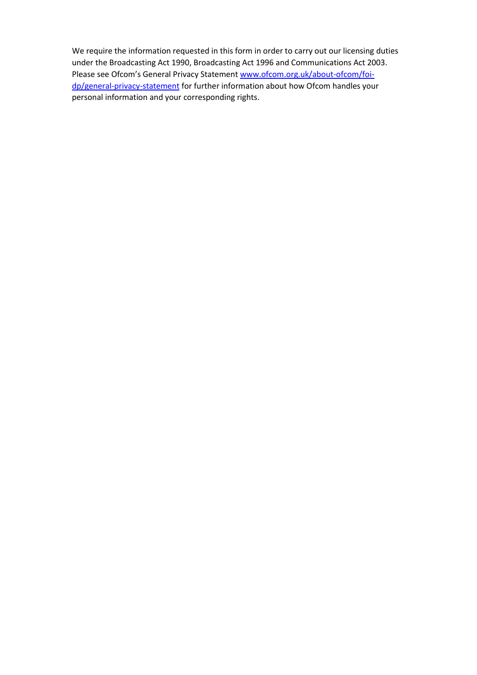We require the information requested in this form in order to carry out our licensing duties under the Broadcasting Act 1990, Broadcasting Act 1996 and Communications Act 2003. Please see Ofcom's General Privacy Statement [www.ofcom.org.uk/about-ofcom/foi](http://www.ofcom.org.uk/about-ofcom/foi-dp/general-privacy-statement)[dp/general-privacy-statement](http://www.ofcom.org.uk/about-ofcom/foi-dp/general-privacy-statement)</u> for further information about how Ofcom handles your personal information and your corresponding rights.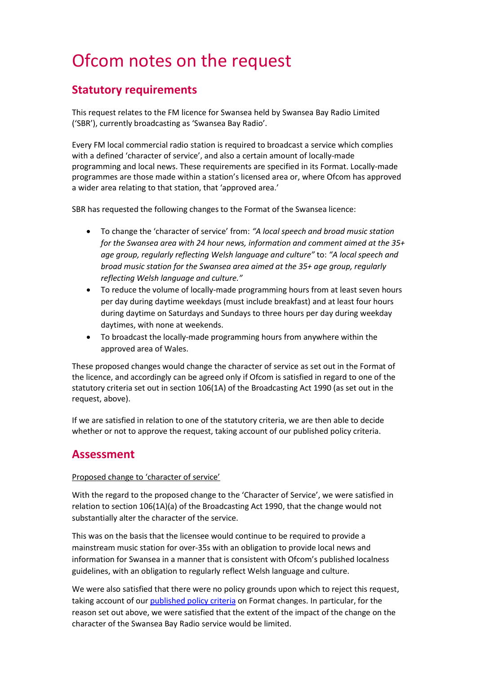# Ofcom notes on the request

# **Statutory requirements**

This request relates to the FM licence for Swansea held by Swansea Bay Radio Limited ('SBR'), currently broadcasting as 'Swansea Bay Radio'.

Every FM local commercial radio station is required to broadcast a service which complies with a defined 'character of service', and also a certain amount of locally-made programming and local news. These requirements are specified in its Format. Locally-made programmes are those made within a station's licensed area or, where Ofcom has approved a wider area relating to that station, that 'approved area.'

SBR has requested the following changes to the Format of the Swansea licence:

- To change the 'character of service' from: *"A local speech and broad music station for the Swansea area with 24 hour news, information and comment aimed at the 35+ age group, regularly reflecting Welsh language and culture"* to: *"A local speech and broad music station for the Swansea area aimed at the 35+ age group, regularly reflecting Welsh language and culture."*
- To reduce the volume of locally-made programming hours from at least seven hours per day during daytime weekdays (must include breakfast) and at least four hours during daytime on Saturdays and Sundays to three hours per day during weekday daytimes, with none at weekends.
- To broadcast the locally-made programming hours from anywhere within the approved area of Wales.

These proposed changes would change the character of service as set out in the Format of the licence, and accordingly can be agreed only if Ofcom is satisfied in regard to one of the statutory criteria set out in section 106(1A) of the Broadcasting Act 1990 (as set out in the request, above).

If we are satisfied in relation to one of the statutory criteria, we are then able to decide whether or not to approve the request, taking account of our published policy criteria.

# **Assessment**

### Proposed change to 'character of service'

With the regard to the proposed change to the 'Character of Service', we were satisfied in relation to section 106(1A)(a) of the Broadcasting Act 1990, that the change would not substantially alter the character of the service.

This was on the basis that the licensee would continue to be required to provide a mainstream music station for over-35s with an obligation to provide local news and information for Swansea in a manner that is consistent with Ofcom's published localness guidelines, with an obligation to regularly reflect Welsh language and culture.

We were also satisfied that there were no policy grounds upon which to reject this request, taking account of ou[r published policy criteria](https://www.ofcom.org.uk/__data/assets/pdf_file/0024/87405/The-regulation-of-Format-changes.pdf) on Format changes. In particular, for the reason set out above, we were satisfied that the extent of the impact of the change on the character of the Swansea Bay Radio service would be limited.